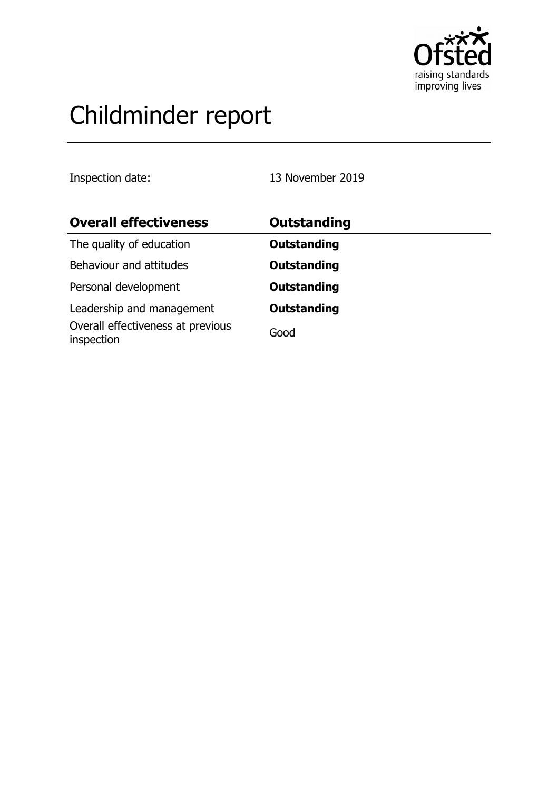

# Childminder report

Inspection date: 13 November 2019

| <b>Overall effectiveness</b>                    | <b>Outstanding</b> |
|-------------------------------------------------|--------------------|
| The quality of education                        | <b>Outstanding</b> |
| Behaviour and attitudes                         | <b>Outstanding</b> |
| Personal development                            | <b>Outstanding</b> |
| Leadership and management                       | <b>Outstanding</b> |
| Overall effectiveness at previous<br>inspection | Good               |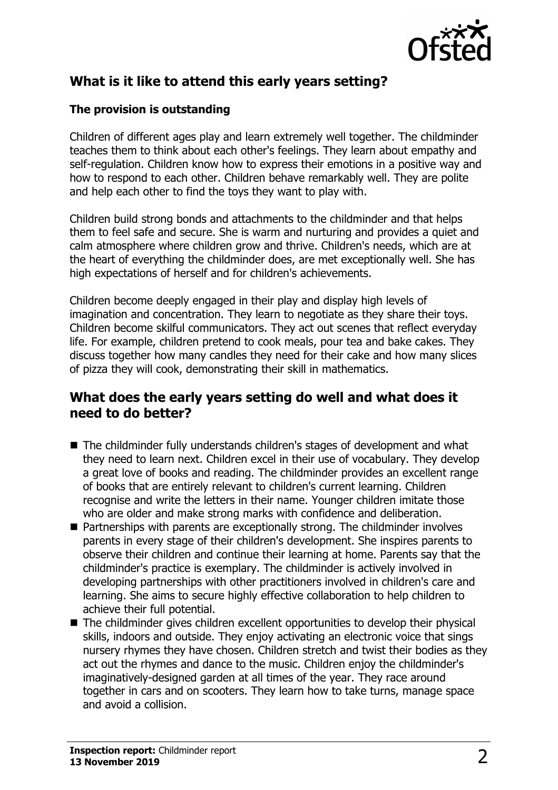

# **What is it like to attend this early years setting?**

#### **The provision is outstanding**

Children of different ages play and learn extremely well together. The childminder teaches them to think about each other's feelings. They learn about empathy and self-regulation. Children know how to express their emotions in a positive way and how to respond to each other. Children behave remarkably well. They are polite and help each other to find the toys they want to play with.

Children build strong bonds and attachments to the childminder and that helps them to feel safe and secure. She is warm and nurturing and provides a quiet and calm atmosphere where children grow and thrive. Children's needs, which are at the heart of everything the childminder does, are met exceptionally well. She has high expectations of herself and for children's achievements.

Children become deeply engaged in their play and display high levels of imagination and concentration. They learn to negotiate as they share their toys. Children become skilful communicators. They act out scenes that reflect everyday life. For example, children pretend to cook meals, pour tea and bake cakes. They discuss together how many candles they need for their cake and how many slices of pizza they will cook, demonstrating their skill in mathematics.

#### **What does the early years setting do well and what does it need to do better?**

- $\blacksquare$  The childminder fully understands children's stages of development and what they need to learn next. Children excel in their use of vocabulary. They develop a great love of books and reading. The childminder provides an excellent range of books that are entirely relevant to children's current learning. Children recognise and write the letters in their name. Younger children imitate those who are older and make strong marks with confidence and deliberation.
- $\blacksquare$  Partnerships with parents are exceptionally strong. The childminder involves parents in every stage of their children's development. She inspires parents to observe their children and continue their learning at home. Parents say that the childminder's practice is exemplary. The childminder is actively involved in developing partnerships with other practitioners involved in children's care and learning. She aims to secure highly effective collaboration to help children to achieve their full potential.
- $\blacksquare$  The childminder gives children excellent opportunities to develop their physical skills, indoors and outside. They enjoy activating an electronic voice that sings nursery rhymes they have chosen. Children stretch and twist their bodies as they act out the rhymes and dance to the music. Children enjoy the childminder's imaginatively-designed garden at all times of the year. They race around together in cars and on scooters. They learn how to take turns, manage space and avoid a collision.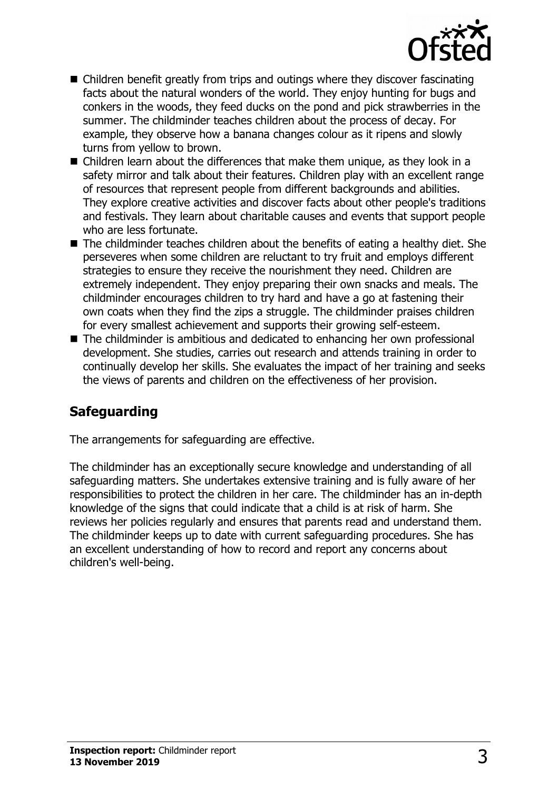

- $\blacksquare$  Children benefit greatly from trips and outings where they discover fascinating facts about the natural wonders of the world. They enjoy hunting for bugs and conkers in the woods, they feed ducks on the pond and pick strawberries in the summer. The childminder teaches children about the process of decay. For example, they observe how a banana changes colour as it ripens and slowly turns from yellow to brown.
- $\blacksquare$  Children learn about the differences that make them unique, as they look in a safety mirror and talk about their features. Children play with an excellent range of resources that represent people from different backgrounds and abilities. They explore creative activities and discover facts about other people's traditions and festivals. They learn about charitable causes and events that support people who are less fortunate.
- $\blacksquare$  The childminder teaches children about the benefits of eating a healthy diet. She perseveres when some children are reluctant to try fruit and employs different strategies to ensure they receive the nourishment they need. Children are extremely independent. They enjoy preparing their own snacks and meals. The childminder encourages children to try hard and have a go at fastening their own coats when they find the zips a struggle. The childminder praises children for every smallest achievement and supports their growing self-esteem.
- $\blacksquare$  The childminder is ambitious and dedicated to enhancing her own professional development. She studies, carries out research and attends training in order to continually develop her skills. She evaluates the impact of her training and seeks the views of parents and children on the effectiveness of her provision.

## **Safeguarding**

The arrangements for safeguarding are effective.

The childminder has an exceptionally secure knowledge and understanding of all safeguarding matters. She undertakes extensive training and is fully aware of her responsibilities to protect the children in her care. The childminder has an in-depth knowledge of the signs that could indicate that a child is at risk of harm. She reviews her policies regularly and ensures that parents read and understand them. The childminder keeps up to date with current safeguarding procedures. She has an excellent understanding of how to record and report any concerns about children's well-being.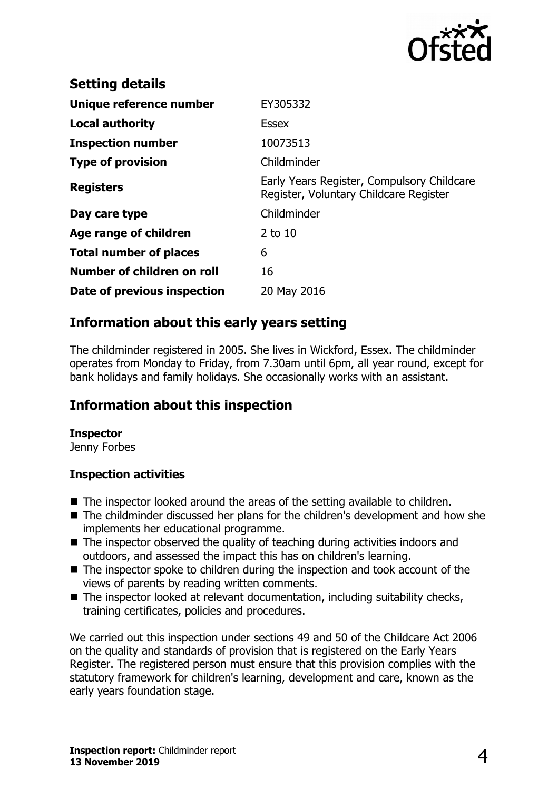

| <b>Setting details</b>        |                                                                                      |
|-------------------------------|--------------------------------------------------------------------------------------|
| Unique reference number       | EY305332                                                                             |
| <b>Local authority</b>        | <b>Essex</b>                                                                         |
| <b>Inspection number</b>      | 10073513                                                                             |
| <b>Type of provision</b>      | Childminder                                                                          |
| <b>Registers</b>              | Early Years Register, Compulsory Childcare<br>Register, Voluntary Childcare Register |
| Day care type                 | Childminder                                                                          |
| Age range of children         | $2$ to $10$                                                                          |
| <b>Total number of places</b> | 6                                                                                    |
| Number of children on roll    | 16                                                                                   |
| Date of previous inspection   | 20 May 2016                                                                          |

### **Information about this early years setting**

The childminder registered in 2005. She lives in Wickford, Essex. The childminder operates from Monday to Friday, from 7.30am until 6pm, all year round, except for bank holidays and family holidays. She occasionally works with an assistant.

## **Information about this inspection**

#### **Inspector**

Jenny Forbes

#### **Inspection activities**

- $\blacksquare$  The inspector looked around the areas of the setting available to children.
- $\blacksquare$  The childminder discussed her plans for the children's development and how she implements her educational programme.
- $\blacksquare$  The inspector observed the quality of teaching during activities indoors and outdoors, and assessed the impact this has on children's learning.
- $\blacksquare$  The inspector spoke to children during the inspection and took account of the views of parents by reading written comments.
- $\blacksquare$  The inspector looked at relevant documentation, including suitability checks, training certificates, policies and procedures.

We carried out this inspection under sections 49 and 50 of the Childcare Act 2006 on the quality and standards of provision that is registered on the Early Years Register. The registered person must ensure that this provision complies with the statutory framework for children's learning, development and care, known as the early years foundation stage.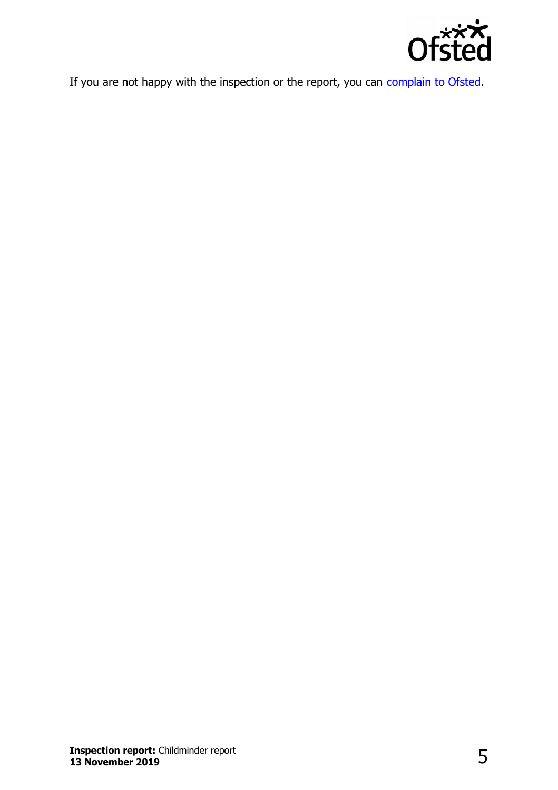

If you are not happy with the inspection or the report, you can [complain to Ofsted.](http://www.gov.uk/complain-ofsted-report)